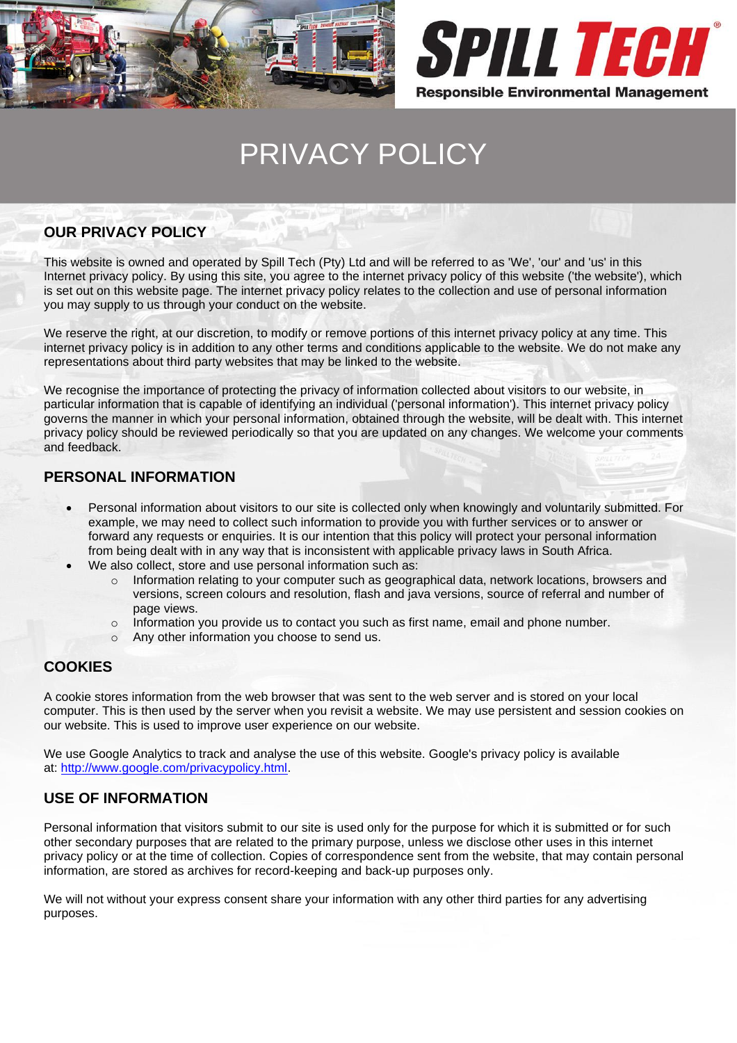



# PRIVACY POLICY

## **OUR PRIVACY POLICY**

This website is owned and operated by Spill Tech (Pty) Ltd and will be referred to as 'We', 'our' and 'us' in this Internet privacy policy. By using this site, you agree to the internet privacy policy of this website ('the website'), which is set out on this website page. The internet privacy policy relates to the collection and use of personal information you may supply to us through your conduct on the website.

We reserve the right, at our discretion, to modify or remove portions of this internet privacy policy at any time. This internet privacy policy is in addition to any other terms and conditions applicable to the website. We do not make any representations about third party websites that may be linked to the website.

We recognise the importance of protecting the privacy of information collected about visitors to our website, in particular information that is capable of identifying an individual ('personal information'). This internet privacy policy governs the manner in which your personal information, obtained through the website, will be dealt with. This internet privacy policy should be reviewed periodically so that you are updated on any changes. We welcome your comments and feedback.

## **PERSONAL INFORMATION**

- Personal information about visitors to our site is collected only when knowingly and voluntarily submitted. For example, we may need to collect such information to provide you with further services or to answer or forward any requests or enquiries. It is our intention that this policy will protect your personal information from being dealt with in any way that is inconsistent with applicable privacy laws in South Africa.
- We also collect, store and use personal information such as:
	- $\circ$  Information relating to your computer such as geographical data, network locations, browsers and versions, screen colours and resolution, flash and java versions, source of referral and number of page views.
	- $\circ$  Information you provide us to contact you such as first name, email and phone number.
	- o Any other information you choose to send us.

## **COOKIES**

A cookie stores information from the web browser that was sent to the web server and is stored on your local computer. This is then used by the server when you revisit a website. We may use persistent and session cookies on our website. This is used to improve user experience on our website.

We use Google Analytics to track and analyse the use of this website. Google's privacy policy is available at: [http://www.google.com/privacypolicy.html.](http://www.google.com/privacypolicy.html)

#### **USE OF INFORMATION**

Personal information that visitors submit to our site is used only for the purpose for which it is submitted or for such other secondary purposes that are related to the primary purpose, unless we disclose other uses in this internet privacy policy or at the time of collection. Copies of correspondence sent from the website, that may contain personal information, are stored as archives for record-keeping and back-up purposes only.

We will not without your express consent share your information with any other third parties for any advertising purposes.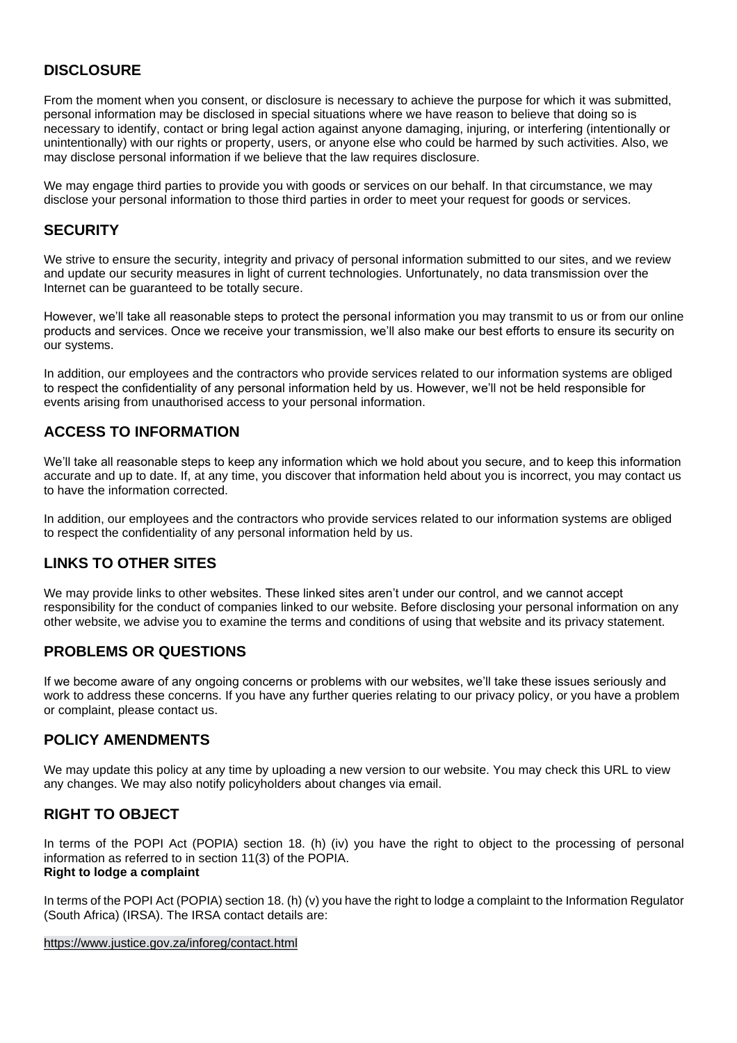# **DISCLOSURE**

From the moment when you consent, or disclosure is necessary to achieve the purpose for which it was submitted, personal information may be disclosed in special situations where we have reason to believe that doing so is necessary to identify, contact or bring legal action against anyone damaging, injuring, or interfering (intentionally or unintentionally) with our rights or property, users, or anyone else who could be harmed by such activities. Also, we may disclose personal information if we believe that the law requires disclosure.

We may engage third parties to provide you with goods or services on our behalf. In that circumstance, we may disclose your personal information to those third parties in order to meet your request for goods or services.

## **SECURITY**

We strive to ensure the security, integrity and privacy of personal information submitted to our sites, and we review and update our security measures in light of current technologies. Unfortunately, no data transmission over the Internet can be guaranteed to be totally secure.

However, we'll take all reasonable steps to protect the personal information you may transmit to us or from our online products and services. Once we receive your transmission, we'll also make our best efforts to ensure its security on our systems.

In addition, our employees and the contractors who provide services related to our information systems are obliged to respect the confidentiality of any personal information held by us. However, we'll not be held responsible for events arising from unauthorised access to your personal information.

## **ACCESS TO INFORMATION**

We'll take all reasonable steps to keep any information which we hold about you secure, and to keep this information accurate and up to date. If, at any time, you discover that information held about you is incorrect, you may contact us to have the information corrected.

In addition, our employees and the contractors who provide services related to our information systems are obliged to respect the confidentiality of any personal information held by us.

## **LINKS TO OTHER SITES**

We may provide links to other websites. These linked sites aren't under our control, and we cannot accept responsibility for the conduct of companies linked to our website. Before disclosing your personal information on any other website, we advise you to examine the terms and conditions of using that website and its privacy statement.

## **PROBLEMS OR QUESTIONS**

If we become aware of any ongoing concerns or problems with our websites, we'll take these issues seriously and work to address these concerns. If you have any further queries relating to our privacy policy, or you have a problem or complaint, please contact us.

## **POLICY AMENDMENTS**

We may update this policy at any time by uploading a new version to our website. You may check this URL to view any changes. We may also notify policyholders about changes via email.

## **RIGHT TO OBJECT**

In terms of the POPI Act (POPIA) section 18. (h) (iv) you have the right to object to the processing of personal information as referred to in section 11(3) of the POPIA. **Right to lodge a complaint**

In terms of the POPI Act (POPIA) section 18. (h) (v) you have the right to lodge a complaint to the Information Regulator (South Africa) (IRSA). The IRSA contact details are:

<https://www.justice.gov.za/inforeg/contact.html>